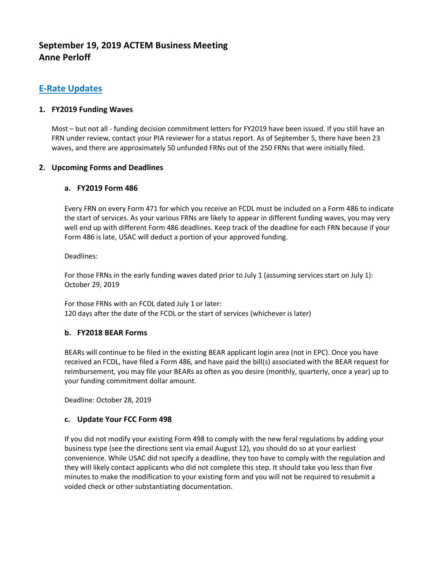# **September 19, 2019 ACTEM Business Meeting Anne Perloff**

## **E-Rate Updates**

## **1. FY2019 Funding Waves**

Most – but not all - funding decision commitment letters for FY2019 have been issued. If you still have an FRN under review, contact your PIA reviewer for a status report. As of September 5, there have been 23 waves, and there are approximately 50 unfunded FRNs out of the 250 FRNs that were initially filed.

### **2. Upcoming Forms and Deadlines**

## **a. FY2019 Form 486**

Every FRN on every Form 471 for which you receive an FCDL must be included on a Form 486 to indicate the start of services. As your various FRNs are likely to appear in different funding waves, you may very well end up with different Form 486 deadlines. Keep track of the deadline for each FRN because if your Form 486 is late, USAC will deduct a portion of your approved funding.

Deadlines:

For those FRNs in the early funding waves dated prior to July 1 (assuming services start on July 1): October 29, 2019

For those FRNs with an FCDL dated July 1 or later: 120 days after the date of the FCDL or the start of services (whichever is later)

#### **b. FY2018 BEAR Forms**

BEARs will continue to be filed in the existing BEAR applicant login area (not in EPC). Once you have received an FCDL, have filed a Form 486, and have paid the bill(s) associated with the BEAR request for reimbursement, you may file your BEARs as often as you desire (monthly, quarterly, once a year) up to your funding commitment dollar amount.

Deadline: October 28, 2019

#### **c. Update Your FCC Form 498**

If you did not modify your existing Form 498 to comply with the new feral regulations by adding your business type (see the directions sent via email August 12), you should do so at your earliest convenience. While USAC did not specify a deadline, they too have to comply with the regulation and they will likely contact applicants who did not complete this step. It should take you less than five minutes to make the modification to your existing form and you will not be required to resubmit a voided check or other substantiating documentation.